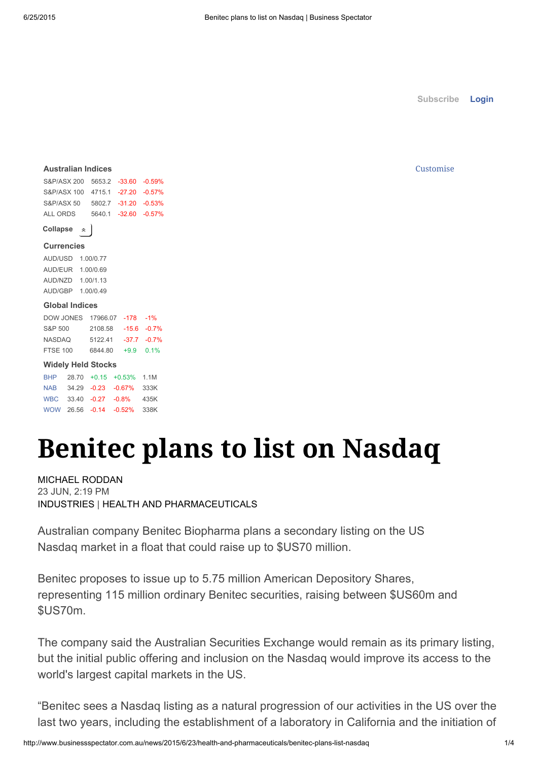[Subscribe](http://www.businessspectator.com.au/subscribe/news/1/?sourceCode=BSWEB_WBM112_a) Login

#### Customise

|                                  |           | <b>Australian Indices</b>   |                             |  |  |  |  |
|----------------------------------|-----------|-----------------------------|-----------------------------|--|--|--|--|
| S&P/ASX 200 5653.2 -33.60 -0.59% |           |                             |                             |  |  |  |  |
| S&P/ASX 100 4715.1 -27.20 -0.57% |           |                             |                             |  |  |  |  |
| S&P/ASX 50 5802.7 -31.20 -0.53%  |           |                             |                             |  |  |  |  |
| ALL ORDS 5640.1 -32.60 -0.57%    |           |                             |                             |  |  |  |  |
| Collapse                         | $\hat{z}$ |                             |                             |  |  |  |  |
| <b>Currencies</b>                |           |                             |                             |  |  |  |  |
|                                  |           | AUD/USD 1.00/0.77           |                             |  |  |  |  |
| AUD/EUR  1.00/0.69               |           |                             |                             |  |  |  |  |
| AUD/NZD 1.00/1.13                |           |                             |                             |  |  |  |  |
| AUD/GBP 1.00/0.49                |           |                             |                             |  |  |  |  |
| <b>Global Indices</b>            |           |                             |                             |  |  |  |  |
| DOW JONES 17966.07 -178 -1%      |           |                             |                             |  |  |  |  |
| S&P 500 2108.58 -15.6 -0.7%      |           |                             |                             |  |  |  |  |
| NASDAQ 5122.41 -37.7 -0.7%       |           |                             |                             |  |  |  |  |
| FTSE 100 6844.80 +9.9 0.1%       |           |                             |                             |  |  |  |  |
|                                  |           | <b>Widely Held Stocks</b>   |                             |  |  |  |  |
|                                  |           | BHP 28.70 +0.15 +0.53% 1.1M |                             |  |  |  |  |
|                                  |           | NAB 34.29 -0.23 -0.67% 333K |                             |  |  |  |  |
|                                  |           | WBC 33.40 -0.27 -0.8% 435K  |                             |  |  |  |  |
|                                  |           |                             | WOW 26.56 -0.14 -0.52% 338K |  |  |  |  |
|                                  |           |                             |                             |  |  |  |  |

# Benitec plans to list on Nasdaq

[MICHAEL](http://www.businessspectator.com.au/contributor/michael-roddan) RODDAN 23 JUN, 2:19 PM [INDUSTRIES](http://www.businessspectator.com.au/industries) | HEALTH AND [PHARMACEUTICALS](http://www.businessspectator.com.au/industries/health-and-pharmaceuticals)

Australian company Benitec Biopharma plans a secondary listing on the US Nasdaq market in a float that could raise up to \$US70 million.

Benitec proposes to issue up to 5.75 million American Depository Shares, representing 115 million ordinary Benitec securities, raising between \$US60m and \$US70m.

The company said the Australian Securities Exchange would remain as its primary listing, but the initial public offering and inclusion on the Nasdaq would improve its access to the world's largest capital markets in the US.

"Benitec sees a Nasdaq listing as a natural progression of our activities in the US over the last two years, including the establishment of a laboratory in California and the initiation of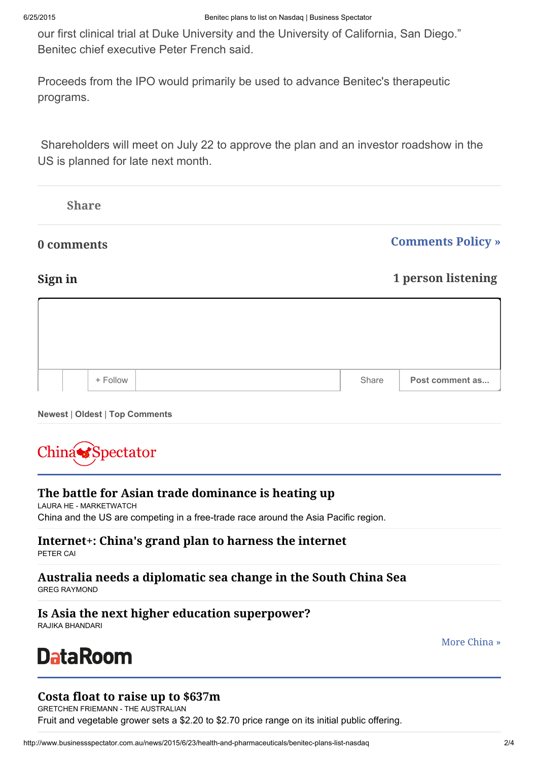our first clinical trial at Duke University and the University of California, San Diego." Benitec chief executive Peter French said.

Proceeds from the IPO would primarily be used to advance Benitec's therapeutic programs.

Shareholders will meet on July 22 to approve the plan and an investor roadshow in the US is planned for late next month.

|       | <b>Comments Policy</b> » |  |  |
|-------|--------------------------|--|--|
|       | 1 person listening       |  |  |
|       |                          |  |  |
|       |                          |  |  |
| Share | Post comment as          |  |  |
|       |                          |  |  |

Newest | Oldest | Top Comments



# The battle for Asian trade [dominance](http://www.businessspectator.com.au/article/2015/6/24/global-news/battle-asian-trade-dominance-heating) is heating up

LAURA HE - [MARKETWATCH](http://www.businessspectator.com.au/contributor/laura-he-marketwatch) China and the US are [competing](http://www.businessspectator.com.au/article/2015/6/24/global-news/battle-asian-trade-dominance-heating) in a free-trade race around the Asia Pacific region.

# [Internet+:](http://www.businessspectator.com.au/article/2015/6/24/china/internet-chinas-grand-plan-harness-internet) China's grand plan to harness the internet

[PETER](http://www.businessspectator.com.au/contributor/peter-cai) CAI

# Australia needs a [diplomatic](http://www.businessspectator.com.au/article/2015/6/24/china/australia-needs-diplomatic-sea-change-south-china-sea) sea change in the South China Sea

GREG [RAYMOND](http://www.businessspectator.com.au/contributor/greg-raymond)

# Is Asia the next higher education [superpower?](http://www.businessspectator.com.au/article/2015/6/24/china/asia-next-higher-education-superpower)

RAJIKA [BHANDARI](http://www.businessspectator.com.au/contributor/rajika-bhandari)

**DataRoom** 

More [China](http://www.businessspectator.com.au/economy/china) »

# Costa float to raise up to [\\$637m](http://www.businessspectator.com.au/news/2015/6/25/equity-capital-markets/costa-float-raise-637m)

GRETCHEN FRIEMANN - THE [AUSTRALIAN](http://www.businessspectator.com.au/contributor/gretchen-friemann-australian) Fruit and [vegetable](http://www.businessspectator.com.au/news/2015/6/25/equity-capital-markets/costa-float-raise-637m) grower sets a \$2.20 to \$2.70 price range on its initial public offering.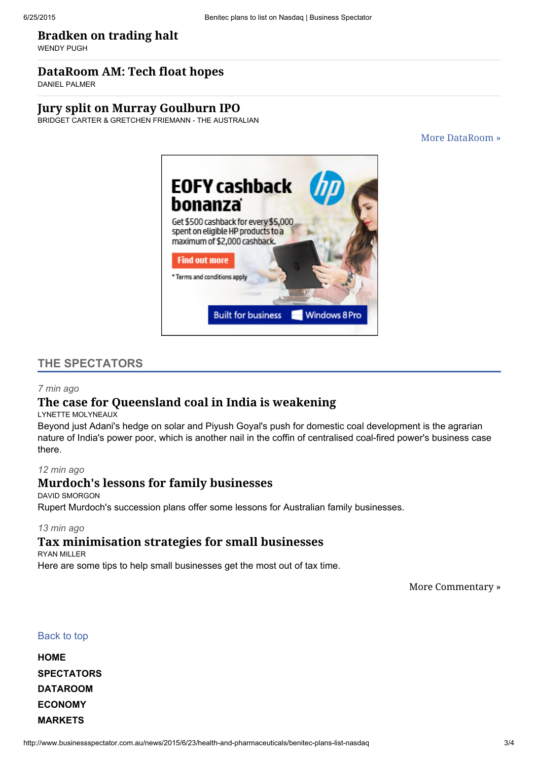#### [Bradken](http://www.businessspectator.com.au/news/2015/6/25/equity-capital-markets/bradken-trading-halt) on trading halt

[WENDY](http://www.businessspectator.com.au/contributor/wendy-pugh) PUGH

#### [DataRoom](http://www.businessspectator.com.au/article/2015/6/25/dataroom/dataroom-am-tech-float-hopes) AM: Tech float hopes

DANIEL [PALMER](http://www.businessspectator.com.au/contributor/daniel-palmer)

#### Jury split on Murray [Goulburn](http://www.businessspectator.com.au/news/2015/6/25/equity-capital-markets/jury-split-murray-goulburn-ipo) IPO

BRIDGET CARTER & GRETCHEN FRIEMANN - THE [AUSTRALIAN](http://www.businessspectator.com.au/contributor/bridget-carter-gretchen-friemann-australian)

More [DataRoom](http://www.businessspectator.com.au/dataroom) »



#### THE SPECTATORS

#### *7 min ago*

# The case for [Queensland](http://www.businessspectator.com.au/article/2015/6/25/policy-politics/case-queensland-coal-india-weakening) coal in India is weakening

LYNETTE [MOLYNEAUX](http://www.businessspectator.com.au/contributor/lynette-molyneaux)

Beyond just Adani's hedge on solar and Piyush Goyal's push for domestic coal [development](http://www.businessspectator.com.au/article/2015/6/25/policy-politics/case-queensland-coal-india-weakening) is the agrarian nature of India's power poor, which is another nail in the coffin of centralised coal-fired power's business case there.

#### *12 min ago*

#### Murdoch's lessons for family [businesses](http://www.businessspectator.com.au/article/2015/6/25/family-business/murdochs-lessons-family-businesses)

DAVID [SMORGON](http://www.businessspectator.com.au/contributor/david-smorgon) Rupert Murdoch's succession plans offer some lessons for Australian family [businesses.](http://www.businessspectator.com.au/article/2015/6/25/family-business/murdochs-lessons-family-businesses)

#### *13 min ago*

### Tax [minimisation](http://www.businessspectator.com.au/article/2015/6/25/family-business/tax-minimisation-strategies-small-businesses) strategies for small businesses

RYAN [MILLER](http://www.businessspectator.com.au/contributor/ryan-miller)

Here are some tips to help small [businesses](http://www.businessspectator.com.au/article/2015/6/25/family-business/tax-minimisation-strategies-small-businesses) get the most out of tax time.

More [Commentary](http://www.businessspectator.com.au/spectators) »

#### Back to top

| НОМЕ           |
|----------------|
| SPECTATORS     |
| DATAROOM       |
| <b>ECONOMY</b> |
| <b>MARKETS</b> |